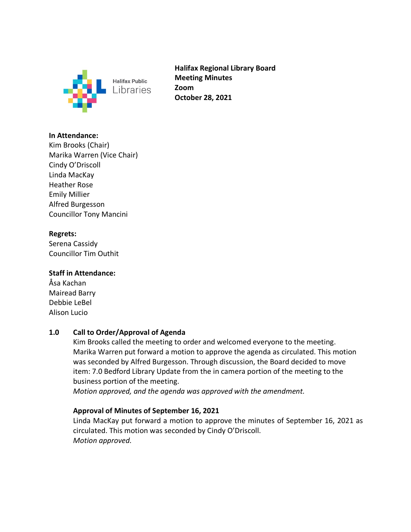

**Halifax Regional Library Board Meeting Minutes Zoom October 28, 2021**

### **In Attendance:**

Kim Brooks (Chair) Marika Warren (Vice Chair) Cindy O'Driscoll Linda MacKay Heather Rose Emily Millier Alfred Burgesson Councillor Tony Mancini

### **Regrets:**

Serena Cassidy Councillor Tim Outhit

# **Staff in Attendance:**

Åsa Kachan Mairead Barry Debbie LeBel Alison Lucio

# **1.0 Call to Order/Approval of Agenda**

Kim Brooks called the meeting to order and welcomed everyone to the meeting. Marika Warren put forward a motion to approve the agenda as circulated. This motion was seconded by Alfred Burgesson. Through discussion, the Board decided to move item: 7.0 Bedford Library Update from the in camera portion of the meeting to the business portion of the meeting.

*Motion approved, and the agenda was approved with the amendment.*

# **Approval of Minutes of September 16, 2021**

Linda MacKay put forward a motion to approve the minutes of September 16, 2021 as circulated. This motion was seconded by Cindy O'Driscoll. *Motion approved.*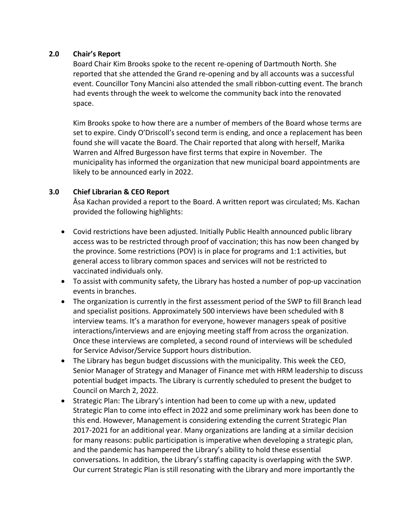### **2.0 Chair's Report**

Board Chair Kim Brooks spoke to the recent re-opening of Dartmouth North. She reported that she attended the Grand re-opening and by all accounts was a successful event. Councillor Tony Mancini also attended the small ribbon-cutting event. The branch had events through the week to welcome the community back into the renovated space.

Kim Brooks spoke to how there are a number of members of the Board whose terms are set to expire. Cindy O'Driscoll's second term is ending, and once a replacement has been found she will vacate the Board. The Chair reported that along with herself, Marika Warren and Alfred Burgesson have first terms that expire in November. The municipality has informed the organization that new municipal board appointments are likely to be announced early in 2022.

### **3.0 Chief Librarian & CEO Report**

Åsa Kachan provided a report to the Board. A written report was circulated; Ms. Kachan provided the following highlights:

- Covid restrictions have been adjusted. Initially Public Health announced public library access was to be restricted through proof of vaccination; this has now been changed by the province. Some restrictions (POV) is in place for programs and 1:1 activities, but general access to library common spaces and services will not be restricted to vaccinated individuals only.
- To assist with community safety, the Library has hosted a number of pop-up vaccination events in branches.
- The organization is currently in the first assessment period of the SWP to fill Branch lead and specialist positions. Approximately 500 interviews have been scheduled with 8 interview teams. It's a marathon for everyone, however managers speak of positive interactions/interviews and are enjoying meeting staff from across the organization. Once these interviews are completed, a second round of interviews will be scheduled for Service Advisor/Service Support hours distribution.
- The Library has begun budget discussions with the municipality. This week the CEO, Senior Manager of Strategy and Manager of Finance met with HRM leadership to discuss potential budget impacts. The Library is currently scheduled to present the budget to Council on March 2, 2022.
- Strategic Plan: The Library's intention had been to come up with a new, updated Strategic Plan to come into effect in 2022 and some preliminary work has been done to this end. However, Management is considering extending the current Strategic Plan 2017-2021 for an additional year. Many organizations are landing at a similar decision for many reasons: public participation is imperative when developing a strategic plan, and the pandemic has hampered the Library's ability to hold these essential conversations. In addition, the Library's staffing capacity is overlapping with the SWP. Our current Strategic Plan is still resonating with the Library and more importantly the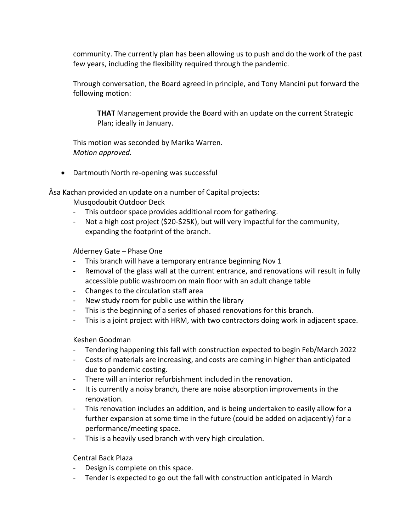community. The currently plan has been allowing us to push and do the work of the past few years, including the flexibility required through the pandemic.

Through conversation, the Board agreed in principle, and Tony Mancini put forward the following motion:

**THAT** Management provide the Board with an update on the current Strategic Plan; ideally in January.

This motion was seconded by Marika Warren. *Motion approved.* 

• Dartmouth North re-opening was successful

Åsa Kachan provided an update on a number of Capital projects:

Musqodoubit Outdoor Deck

- This outdoor space provides additional room for gathering.
- Not a high cost project (\$20-\$25K), but will very impactful for the community, expanding the footprint of the branch.

Alderney Gate – Phase One

- This branch will have a temporary entrance beginning Nov 1
- Removal of the glass wall at the current entrance, and renovations will result in fully accessible public washroom on main floor with an adult change table
- Changes to the circulation staff area
- New study room for public use within the library
- This is the beginning of a series of phased renovations for this branch.
- This is a joint project with HRM, with two contractors doing work in adjacent space.

Keshen Goodman

- Tendering happening this fall with construction expected to begin Feb/March 2022
- Costs of materials are increasing, and costs are coming in higher than anticipated due to pandemic costing.
- There will an interior refurbishment included in the renovation.
- It is currently a noisy branch, there are noise absorption improvements in the renovation.
- This renovation includes an addition, and is being undertaken to easily allow for a further expansion at some time in the future (could be added on adjacently) for a performance/meeting space.
- This is a heavily used branch with very high circulation.

Central Back Plaza

- Design is complete on this space.
- Tender is expected to go out the fall with construction anticipated in March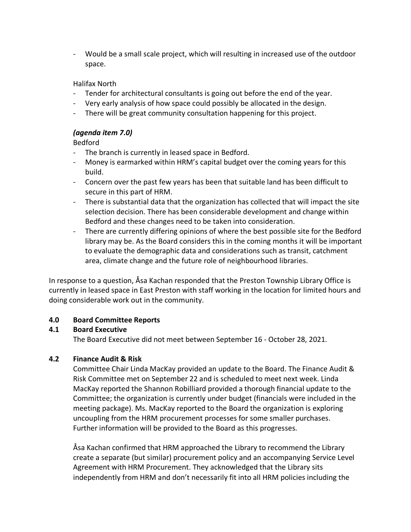- Would be a small scale project, which will resulting in increased use of the outdoor space.

### Halifax North

- Tender for architectural consultants is going out before the end of the year.
- Very early analysis of how space could possibly be allocated in the design.
- There will be great community consultation happening for this project.

### *(agenda item 7.0)*

Bedford

- The branch is currently in leased space in Bedford.
- Money is earmarked within HRM's capital budget over the coming years for this build.
- Concern over the past few years has been that suitable land has been difficult to secure in this part of HRM.
- There is substantial data that the organization has collected that will impact the site selection decision. There has been considerable development and change within Bedford and these changes need to be taken into consideration.
- There are currently differing opinions of where the best possible site for the Bedford library may be. As the Board considers this in the coming months it will be important to evaluate the demographic data and considerations such as transit, catchment area, climate change and the future role of neighbourhood libraries.

In response to a question, Åsa Kachan responded that the Preston Township Library Office is currently in leased space in East Preston with staff working in the location for limited hours and doing considerable work out in the community.

# **4.0 Board Committee Reports**

# **4.1 Board Executive**

The Board Executive did not meet between September 16 - October 28, 2021.

# **4.2 Finance Audit & Risk**

Committee Chair Linda MacKay provided an update to the Board. The Finance Audit & Risk Committee met on September 22 and is scheduled to meet next week. Linda MacKay reported the Shannon Robilliard provided a thorough financial update to the Committee; the organization is currently under budget (financials were included in the meeting package). Ms. MacKay reported to the Board the organization is exploring uncoupling from the HRM procurement processes for some smaller purchases. Further information will be provided to the Board as this progresses.

Åsa Kachan confirmed that HRM approached the Library to recommend the Library create a separate (but similar) procurement policy and an accompanying Service Level Agreement with HRM Procurement. They acknowledged that the Library sits independently from HRM and don't necessarily fit into all HRM policies including the